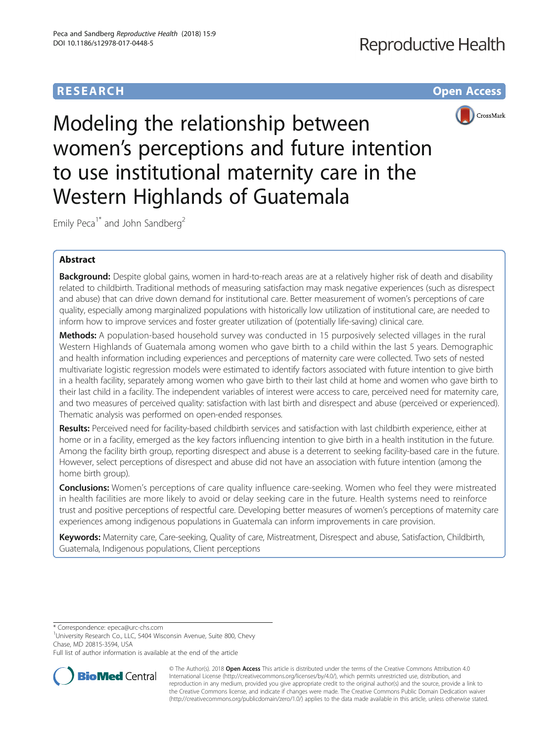# **RESEARCH CHE Open Access**



Modeling the relationship between women's perceptions and future intention to use institutional maternity care in the Western Highlands of Guatemala

Emily Peca<sup>1\*</sup> and John Sandberg<sup>2</sup>

# Abstract

Background: Despite global gains, women in hard-to-reach areas are at a relatively higher risk of death and disability related to childbirth. Traditional methods of measuring satisfaction may mask negative experiences (such as disrespect and abuse) that can drive down demand for institutional care. Better measurement of women's perceptions of care quality, especially among marginalized populations with historically low utilization of institutional care, are needed to inform how to improve services and foster greater utilization of (potentially life-saving) clinical care.

Methods: A population-based household survey was conducted in 15 purposively selected villages in the rural Western Highlands of Guatemala among women who gave birth to a child within the last 5 years. Demographic and health information including experiences and perceptions of maternity care were collected. Two sets of nested multivariate logistic regression models were estimated to identify factors associated with future intention to give birth in a health facility, separately among women who gave birth to their last child at home and women who gave birth to their last child in a facility. The independent variables of interest were access to care, perceived need for maternity care, and two measures of perceived quality: satisfaction with last birth and disrespect and abuse (perceived or experienced). Thematic analysis was performed on open-ended responses.

Results: Perceived need for facility-based childbirth services and satisfaction with last childbirth experience, either at home or in a facility, emerged as the key factors influencing intention to give birth in a health institution in the future. Among the facility birth group, reporting disrespect and abuse is a deterrent to seeking facility-based care in the future. However, select perceptions of disrespect and abuse did not have an association with future intention (among the home birth group).

**Conclusions:** Women's perceptions of care quality influence care-seeking. Women who feel they were mistreated in health facilities are more likely to avoid or delay seeking care in the future. Health systems need to reinforce trust and positive perceptions of respectful care. Developing better measures of women's perceptions of maternity care experiences among indigenous populations in Guatemala can inform improvements in care provision.

Keywords: Maternity care, Care-seeking, Quality of care, Mistreatment, Disrespect and abuse, Satisfaction, Childbirth, Guatemala, Indigenous populations, Client perceptions

\* Correspondence: [epeca@urc-chs.com](mailto:epeca@urc-chs.com) <sup>1</sup>

<sup>1</sup>University Research Co., LLC, 5404 Wisconsin Avenue, Suite 800, Chevy Chase, MD 20815-3594, USA

Full list of author information is available at the end of the article



© The Author(s). 2018 Open Access This article is distributed under the terms of the Creative Commons Attribution 4.0 International License [\(http://creativecommons.org/licenses/by/4.0/](http://creativecommons.org/licenses/by/4.0/)), which permits unrestricted use, distribution, and reproduction in any medium, provided you give appropriate credit to the original author(s) and the source, provide a link to the Creative Commons license, and indicate if changes were made. The Creative Commons Public Domain Dedication waiver [\(http://creativecommons.org/publicdomain/zero/1.0/](http://creativecommons.org/publicdomain/zero/1.0/)) applies to the data made available in this article, unless otherwise stated.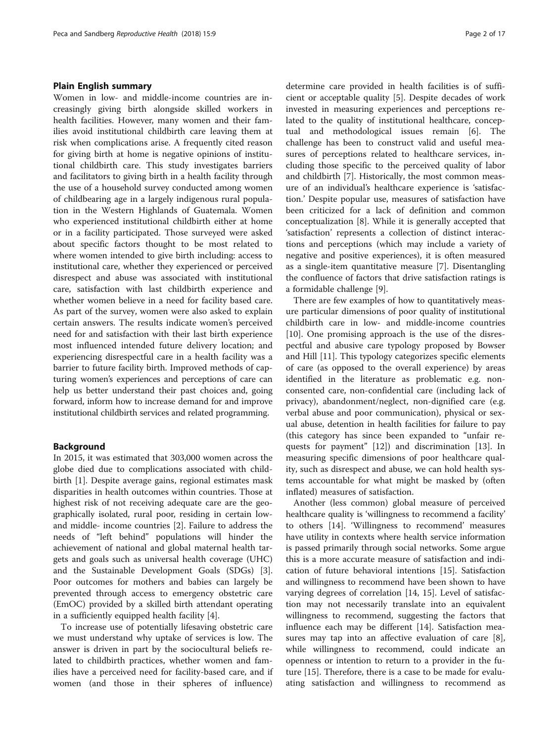### Plain English summary

Women in low- and middle-income countries are increasingly giving birth alongside skilled workers in health facilities. However, many women and their families avoid institutional childbirth care leaving them at risk when complications arise. A frequently cited reason for giving birth at home is negative opinions of institutional childbirth care. This study investigates barriers and facilitators to giving birth in a health facility through the use of a household survey conducted among women of childbearing age in a largely indigenous rural population in the Western Highlands of Guatemala. Women who experienced institutional childbirth either at home or in a facility participated. Those surveyed were asked about specific factors thought to be most related to where women intended to give birth including: access to institutional care, whether they experienced or perceived disrespect and abuse was associated with institutional care, satisfaction with last childbirth experience and whether women believe in a need for facility based care. As part of the survey, women were also asked to explain certain answers. The results indicate women's perceived need for and satisfaction with their last birth experience most influenced intended future delivery location; and experiencing disrespectful care in a health facility was a barrier to future facility birth. Improved methods of capturing women's experiences and perceptions of care can help us better understand their past choices and, going forward, inform how to increase demand for and improve institutional childbirth services and related programming.

### Background

In 2015, it was estimated that 303,000 women across the globe died due to complications associated with childbirth [\[1](#page-15-0)]. Despite average gains, regional estimates mask disparities in health outcomes within countries. Those at highest risk of not receiving adequate care are the geographically isolated, rural poor, residing in certain lowand middle- income countries [[2\]](#page-15-0). Failure to address the needs of "left behind" populations will hinder the achievement of national and global maternal health targets and goals such as universal health coverage (UHC) and the Sustainable Development Goals (SDGs) [\[3](#page-15-0)]. Poor outcomes for mothers and babies can largely be prevented through access to emergency obstetric care (EmOC) provided by a skilled birth attendant operating in a sufficiently equipped health facility [[4\]](#page-15-0).

To increase use of potentially lifesaving obstetric care we must understand why uptake of services is low. The answer is driven in part by the sociocultural beliefs related to childbirth practices, whether women and families have a perceived need for facility-based care, and if women (and those in their spheres of influence) determine care provided in health facilities is of sufficient or acceptable quality [[5\]](#page-15-0). Despite decades of work invested in measuring experiences and perceptions related to the quality of institutional healthcare, conceptual and methodological issues remain [\[6](#page-15-0)]. The challenge has been to construct valid and useful measures of perceptions related to healthcare services, including those specific to the perceived quality of labor and childbirth [\[7](#page-15-0)]. Historically, the most common measure of an individual's healthcare experience is 'satisfaction.' Despite popular use, measures of satisfaction have been criticized for a lack of definition and common conceptualization [\[8](#page-15-0)]. While it is generally accepted that 'satisfaction' represents a collection of distinct interactions and perceptions (which may include a variety of negative and positive experiences), it is often measured as a single-item quantitative measure [\[7](#page-15-0)]. Disentangling the confluence of factors that drive satisfaction ratings is a formidable challenge [\[9](#page-15-0)].

There are few examples of how to quantitatively measure particular dimensions of poor quality of institutional childbirth care in low- and middle-income countries [[10\]](#page-15-0). One promising approach is the use of the disrespectful and abusive care typology proposed by Bowser and Hill [\[11\]](#page-15-0). This typology categorizes specific elements of care (as opposed to the overall experience) by areas identified in the literature as problematic e.g. nonconsented care, non-confidential care (including lack of privacy), abandonment/neglect, non-dignified care (e.g. verbal abuse and poor communication), physical or sexual abuse, detention in health facilities for failure to pay (this category has since been expanded to "unfair requests for payment" [\[12\]](#page-15-0)) and discrimination [\[13](#page-15-0)]. In measuring specific dimensions of poor healthcare quality, such as disrespect and abuse, we can hold health systems accountable for what might be masked by (often inflated) measures of satisfaction.

Another (less common) global measure of perceived healthcare quality is 'willingness to recommend a facility' to others [\[14](#page-15-0)]. 'Willingness to recommend' measures have utility in contexts where health service information is passed primarily through social networks. Some argue this is a more accurate measure of satisfaction and indication of future behavioral intentions [[15\]](#page-15-0). Satisfaction and willingness to recommend have been shown to have varying degrees of correlation [[14, 15](#page-15-0)]. Level of satisfaction may not necessarily translate into an equivalent willingness to recommend, suggesting the factors that influence each may be different [\[14\]](#page-15-0). Satisfaction measures may tap into an affective evaluation of care [\[8](#page-15-0)], while willingness to recommend, could indicate an openness or intention to return to a provider in the future [\[15](#page-15-0)]. Therefore, there is a case to be made for evaluating satisfaction and willingness to recommend as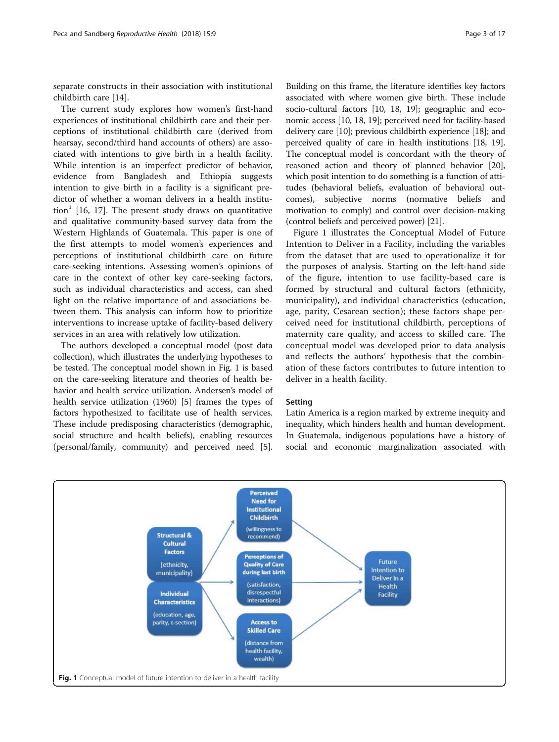separate constructs in their association with institutional childbirth care [[14](#page-15-0)].

The current study explores how women's first-hand experiences of institutional childbirth care and their perceptions of institutional childbirth care (derived from hearsay, second/third hand accounts of others) are associated with intentions to give birth in a health facility. While intention is an imperfect predictor of behavior, evidence from Bangladesh and Ethiopia suggests intention to give birth in a facility is a significant predictor of whether a woman delivers in a health institu-tion<sup>1</sup> [[16, 17\]](#page-15-0). The present study draws on quantitative and qualitative community-based survey data from the Western Highlands of Guatemala. This paper is one of the first attempts to model women's experiences and perceptions of institutional childbirth care on future care-seeking intentions. Assessing women's opinions of care in the context of other key care-seeking factors, such as individual characteristics and access, can shed light on the relative importance of and associations between them. This analysis can inform how to prioritize interventions to increase uptake of facility-based delivery services in an area with relatively low utilization.

The authors developed a conceptual model (post data collection), which illustrates the underlying hypotheses to be tested. The conceptual model shown in Fig. 1 is based on the care-seeking literature and theories of health behavior and health service utilization. Andersen's model of health service utilization (1960) [\[5](#page-15-0)] frames the types of factors hypothesized to facilitate use of health services. These include predisposing characteristics (demographic, social structure and health beliefs), enabling resources (personal/family, community) and perceived need [[5](#page-15-0)].

Building on this frame, the literature identifies key factors associated with where women give birth. These include socio-cultural factors [\[10](#page-15-0), [18, 19\]](#page-16-0); geographic and economic access [\[10,](#page-15-0) [18](#page-16-0), [19\]](#page-16-0); perceived need for facility-based delivery care [\[10\]](#page-15-0); previous childbirth experience [\[18\]](#page-16-0); and perceived quality of care in health institutions [\[18, 19](#page-16-0)]. The conceptual model is concordant with the theory of reasoned action and theory of planned behavior [[20](#page-16-0)], which posit intention to do something is a function of attitudes (behavioral beliefs, evaluation of behavioral outcomes), subjective norms (normative beliefs and motivation to comply) and control over decision-making (control beliefs and perceived power) [\[21](#page-16-0)].

Figure 1 illustrates the Conceptual Model of Future Intention to Deliver in a Facility, including the variables from the dataset that are used to operationalize it for the purposes of analysis. Starting on the left-hand side of the figure, intention to use facility-based care is formed by structural and cultural factors (ethnicity, municipality), and individual characteristics (education, age, parity, Cesarean section); these factors shape perceived need for institutional childbirth, perceptions of maternity care quality, and access to skilled care. The conceptual model was developed prior to data analysis and reflects the authors' hypothesis that the combination of these factors contributes to future intention to deliver in a health facility.

#### Setting

Latin America is a region marked by extreme inequity and inequality, which hinders health and human development. In Guatemala, indigenous populations have a history of social and economic marginalization associated with

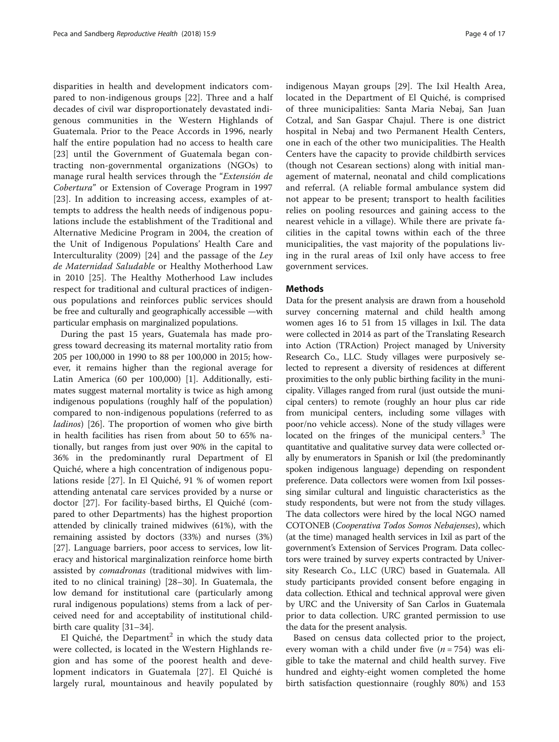disparities in health and development indicators compared to non-indigenous groups [\[22](#page-16-0)]. Three and a half decades of civil war disproportionately devastated indigenous communities in the Western Highlands of Guatemala. Prior to the Peace Accords in 1996, nearly half the entire population had no access to health care [[23\]](#page-16-0) until the Government of Guatemala began contracting non-governmental organizations (NGOs) to manage rural health services through the "Extensión de Cobertura" or Extension of Coverage Program in 1997 [[23\]](#page-16-0). In addition to increasing access, examples of attempts to address the health needs of indigenous populations include the establishment of the Traditional and Alternative Medicine Program in 2004, the creation of the Unit of Indigenous Populations' Health Care and Interculturality (2009) [[24\]](#page-16-0) and the passage of the Ley de Maternidad Saludable or Healthy Motherhood Law in 2010 [[25\]](#page-16-0). The Healthy Motherhood Law includes respect for traditional and cultural practices of indigenous populations and reinforces public services should be free and culturally and geographically accessible —with particular emphasis on marginalized populations.

During the past 15 years, Guatemala has made progress toward decreasing its maternal mortality ratio from 205 per 100,000 in 1990 to 88 per 100,000 in 2015; however, it remains higher than the regional average for Latin America (60 per 100,000) [[1\]](#page-15-0). Additionally, estimates suggest maternal mortality is twice as high among indigenous populations (roughly half of the population) compared to non-indigenous populations (referred to as ladinos) [\[26](#page-16-0)]. The proportion of women who give birth in health facilities has risen from about 50 to 65% nationally, but ranges from just over 90% in the capital to 36% in the predominantly rural Department of El Quiché, where a high concentration of indigenous populations reside [\[27\]](#page-16-0). In El Quiché, 91 % of women report attending antenatal care services provided by a nurse or doctor [\[27](#page-16-0)]. For facility-based births, El Quiché (compared to other Departments) has the highest proportion attended by clinically trained midwives (61%), with the remaining assisted by doctors (33%) and nurses (3%) [[27\]](#page-16-0). Language barriers, poor access to services, low literacy and historical marginalization reinforce home birth assisted by comadronas (traditional midwives with limited to no clinical training) [\[28](#page-16-0)–[30\]](#page-16-0). In Guatemala, the low demand for institutional care (particularly among rural indigenous populations) stems from a lack of perceived need for and acceptability of institutional childbirth care quality [[31](#page-16-0)–[34\]](#page-16-0).

El Quiché, the Department<sup>2</sup> in which the study data were collected, is located in the Western Highlands region and has some of the poorest health and development indicators in Guatemala [\[27](#page-16-0)]. El Quiché is largely rural, mountainous and heavily populated by indigenous Mayan groups [[29](#page-16-0)]. The Ixil Health Area, located in the Department of El Quiché, is comprised of three municipalities: Santa Maria Nebaj, San Juan Cotzal, and San Gaspar Chajul. There is one district hospital in Nebaj and two Permanent Health Centers, one in each of the other two municipalities. The Health Centers have the capacity to provide childbirth services (though not Cesarean sections) along with initial management of maternal, neonatal and child complications and referral. (A reliable formal ambulance system did not appear to be present; transport to health facilities relies on pooling resources and gaining access to the nearest vehicle in a village). While there are private facilities in the capital towns within each of the three municipalities, the vast majority of the populations living in the rural areas of Ixil only have access to free government services.

### Methods

Data for the present analysis are drawn from a household survey concerning maternal and child health among women ages 16 to 51 from 15 villages in Ixil. The data were collected in 2014 as part of the Translating Research into Action (TRAction) Project managed by University Research Co., LLC. Study villages were purposively selected to represent a diversity of residences at different proximities to the only public birthing facility in the municipality. Villages ranged from rural (just outside the municipal centers) to remote (roughly an hour plus car ride from municipal centers, including some villages with poor/no vehicle access). None of the study villages were located on the fringes of the municipal centers.<sup>3</sup> The quantitative and qualitative survey data were collected orally by enumerators in Spanish or Ixil (the predominantly spoken indigenous language) depending on respondent preference. Data collectors were women from Ixil possessing similar cultural and linguistic characteristics as the study respondents, but were not from the study villages. The data collectors were hired by the local NGO named COTONEB (Cooperativa Todos Somos Nebajenses), which (at the time) managed health services in Ixil as part of the government's Extension of Services Program. Data collectors were trained by survey experts contracted by University Research Co., LLC (URC) based in Guatemala. All study participants provided consent before engaging in data collection. Ethical and technical approval were given by URC and the University of San Carlos in Guatemala prior to data collection. URC granted permission to use the data for the present analysis.

Based on census data collected prior to the project, every woman with a child under five  $(n = 754)$  was eligible to take the maternal and child health survey. Five hundred and eighty-eight women completed the home birth satisfaction questionnaire (roughly 80%) and 153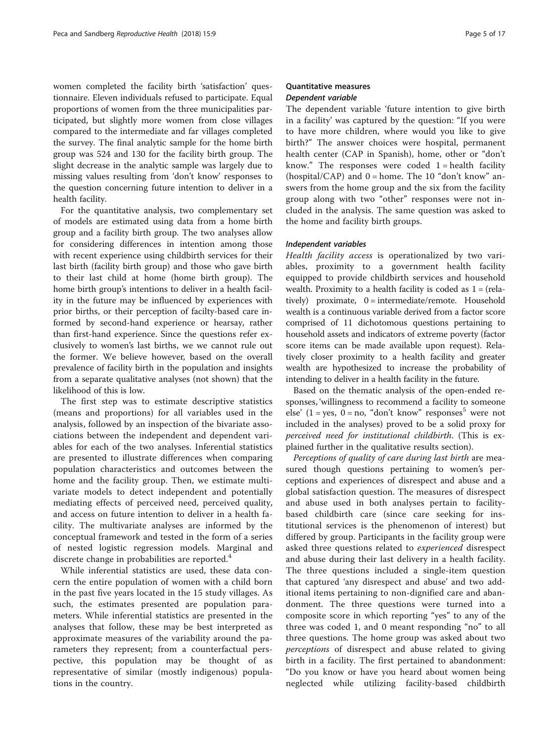women completed the facility birth 'satisfaction' questionnaire. Eleven individuals refused to participate. Equal proportions of women from the three municipalities participated, but slightly more women from close villages compared to the intermediate and far villages completed the survey. The final analytic sample for the home birth group was 524 and 130 for the facility birth group. The slight decrease in the analytic sample was largely due to missing values resulting from 'don't know' responses to the question concerning future intention to deliver in a health facility.

For the quantitative analysis, two complementary set of models are estimated using data from a home birth group and a facility birth group. The two analyses allow for considering differences in intention among those with recent experience using childbirth services for their last birth (facility birth group) and those who gave birth to their last child at home (home birth group). The home birth group's intentions to deliver in a health facility in the future may be influenced by experiences with prior births, or their perception of facilty-based care informed by second-hand experience or hearsay, rather than first-hand experience. Since the questions refer exclusively to women's last births, we we cannot rule out the former. We believe however, based on the overall prevalence of facility birth in the population and insights from a separate qualitative analyses (not shown) that the likelihood of this is low.

The first step was to estimate descriptive statistics (means and proportions) for all variables used in the analysis, followed by an inspection of the bivariate associations between the independent and dependent variables for each of the two analyses. Inferential statistics are presented to illustrate differences when comparing population characteristics and outcomes between the home and the facility group. Then, we estimate multivariate models to detect independent and potentially mediating effects of perceived need, perceived quality, and access on future intention to deliver in a health facility. The multivariate analyses are informed by the conceptual framework and tested in the form of a series of nested logistic regression models. Marginal and discrete change in probabilities are reported.<sup>4</sup>

While inferential statistics are used, these data concern the entire population of women with a child born in the past five years located in the 15 study villages. As such, the estimates presented are population parameters. While inferential statistics are presented in the analyses that follow, these may be best interpreted as approximate measures of the variability around the parameters they represent; from a counterfactual perspective, this population may be thought of as representative of similar (mostly indigenous) populations in the country.

### Quantitative measures Dependent variable

The dependent variable 'future intention to give birth in a facility' was captured by the question: "If you were to have more children, where would you like to give birth?" The answer choices were hospital, permanent health center (CAP in Spanish), home, other or "don't know." The responses were coded  $1 =$  health facility (hospital/CAP) and  $0 =$  home. The 10 "don't know" answers from the home group and the six from the facility group along with two "other" responses were not included in the analysis. The same question was asked to the home and facility birth groups.

#### Independent variables

Health facility access is operationalized by two variables, proximity to a government health facility equipped to provide childbirth services and household wealth. Proximity to a health facility is coded as  $1 = (rela$ tively) proximate, 0 = intermediate/remote. Household wealth is a continuous variable derived from a factor score comprised of 11 dichotomous questions pertaining to household assets and indicators of extreme poverty (factor score items can be made available upon request). Relatively closer proximity to a health facility and greater wealth are hypothesized to increase the probability of intending to deliver in a health facility in the future.

Based on the thematic analysis of the open-ended responses, 'willingness to recommend a facility to someone else' (1 = yes, 0 = no, "don't know" responses<sup>5</sup> were not included in the analyses) proved to be a solid proxy for perceived need for institutional childbirth. (This is explained further in the qualitative results section).

Perceptions of quality of care during last birth are measured though questions pertaining to women's perceptions and experiences of disrespect and abuse and a global satisfaction question. The measures of disrespect and abuse used in both analyses pertain to facilitybased childbirth care (since care seeking for institutional services is the phenomenon of interest) but differed by group. Participants in the facility group were asked three questions related to experienced disrespect and abuse during their last delivery in a health facility. The three questions included a single-item question that captured 'any disrespect and abuse' and two additional items pertaining to non-dignified care and abandonment. The three questions were turned into a composite score in which reporting "yes" to any of the three was coded 1, and 0 meant responding "no" to all three questions. The home group was asked about two perceptions of disrespect and abuse related to giving birth in a facility. The first pertained to abandonment: "Do you know or have you heard about women being neglected while utilizing facility-based childbirth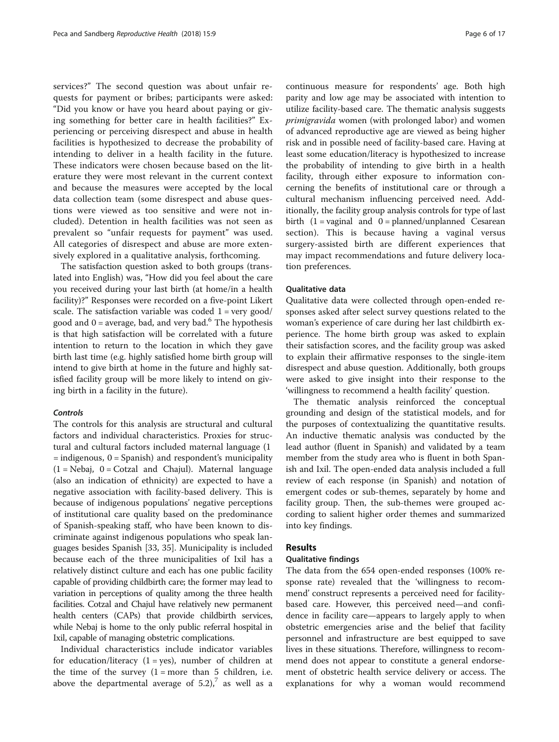services?" The second question was about unfair requests for payment or bribes; participants were asked: "Did you know or have you heard about paying or giving something for better care in health facilities?" Experiencing or perceiving disrespect and abuse in health facilities is hypothesized to decrease the probability of intending to deliver in a health facility in the future. These indicators were chosen because based on the literature they were most relevant in the current context and because the measures were accepted by the local data collection team (some disrespect and abuse questions were viewed as too sensitive and were not included). Detention in health facilities was not seen as prevalent so "unfair requests for payment" was used. All categories of disrespect and abuse are more extensively explored in a qualitative analysis, forthcoming.

The satisfaction question asked to both groups (translated into English) was, "How did you feel about the care you received during your last birth (at home/in a health facility)?" Responses were recorded on a five-point Likert scale. The satisfaction variable was coded  $1 = \text{very good}/$ good and  $0 =$  average, bad, and very bad. $6$  The hypothesis is that high satisfaction will be correlated with a future intention to return to the location in which they gave birth last time (e.g. highly satisfied home birth group will intend to give birth at home in the future and highly satisfied facility group will be more likely to intend on giving birth in a facility in the future).

#### Controls

The controls for this analysis are structural and cultural factors and individual characteristics. Proxies for structural and cultural factors included maternal language (1 = indigenous, 0 = Spanish) and respondent's municipality  $(1 = Nebai, 0 = Cotzal and Chajul). Maternal language$ (also an indication of ethnicity) are expected to have a negative association with facility-based delivery. This is because of indigenous populations' negative perceptions of institutional care quality based on the predominance of Spanish-speaking staff, who have been known to discriminate against indigenous populations who speak languages besides Spanish [[33](#page-16-0), [35\]](#page-16-0). Municipality is included because each of the three municipalities of Ixil has a relatively distinct culture and each has one public facility capable of providing childbirth care; the former may lead to variation in perceptions of quality among the three health facilities. Cotzal and Chajul have relatively new permanent health centers (CAPs) that provide childbirth services, while Nebaj is home to the only public referral hospital in Ixil, capable of managing obstetric complications.

Individual characteristics include indicator variables for education/literacy  $(1 = yes)$ , number of children at the time of the survey  $(1 = more than 5 children, i.e.$ above the departmental average of  $5.2$ ),<sup>7</sup> as well as a

continuous measure for respondents' age. Both high parity and low age may be associated with intention to utilize facility-based care. The thematic analysis suggests primigravida women (with prolonged labor) and women of advanced reproductive age are viewed as being higher risk and in possible need of facility-based care. Having at least some education/literacy is hypothesized to increase the probability of intending to give birth in a health facility, through either exposure to information concerning the benefits of institutional care or through a cultural mechanism influencing perceived need. Additionally, the facility group analysis controls for type of last birth  $(1 = vaginal$  and  $0 = planned/unplanned$  Cesarean section). This is because having a vaginal versus surgery-assisted birth are different experiences that may impact recommendations and future delivery location preferences.

#### Qualitative data

Qualitative data were collected through open-ended responses asked after select survey questions related to the woman's experience of care during her last childbirth experience. The home birth group was asked to explain their satisfaction scores, and the facility group was asked to explain their affirmative responses to the single-item disrespect and abuse question. Additionally, both groups were asked to give insight into their response to the 'willingness to recommend a health facility' question.

The thematic analysis reinforced the conceptual grounding and design of the statistical models, and for the purposes of contextualizing the quantitative results. An inductive thematic analysis was conducted by the lead author (fluent in Spanish) and validated by a team member from the study area who is fluent in both Spanish and Ixil. The open-ended data analysis included a full review of each response (in Spanish) and notation of emergent codes or sub-themes, separately by home and facility group. Then, the sub-themes were grouped according to salient higher order themes and summarized into key findings.

#### Results

#### Qualitative findings

The data from the 654 open-ended responses (100% response rate) revealed that the 'willingness to recommend' construct represents a perceived need for facilitybased care. However, this perceived need—and confidence in facility care—appears to largely apply to when obstetric emergencies arise and the belief that facility personnel and infrastructure are best equipped to save lives in these situations. Therefore, willingness to recommend does not appear to constitute a general endorsement of obstetric health service delivery or access. The explanations for why a woman would recommend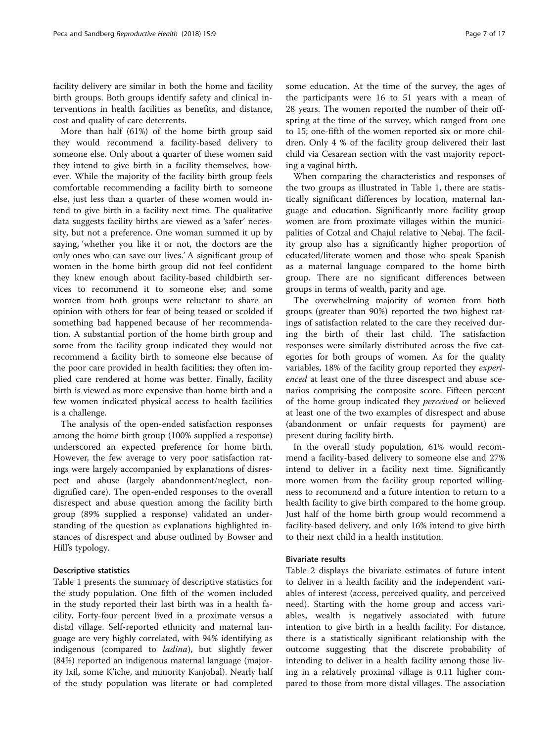facility delivery are similar in both the home and facility birth groups. Both groups identify safety and clinical interventions in health facilities as benefits, and distance, cost and quality of care deterrents.

More than half (61%) of the home birth group said they would recommend a facility-based delivery to someone else. Only about a quarter of these women said they intend to give birth in a facility themselves, however. While the majority of the facility birth group feels comfortable recommending a facility birth to someone else, just less than a quarter of these women would intend to give birth in a facility next time. The qualitative data suggests facility births are viewed as a 'safer' necessity, but not a preference. One woman summed it up by saying, 'whether you like it or not, the doctors are the only ones who can save our lives.' A significant group of women in the home birth group did not feel confident they knew enough about facility-based childbirth services to recommend it to someone else; and some women from both groups were reluctant to share an opinion with others for fear of being teased or scolded if something bad happened because of her recommendation. A substantial portion of the home birth group and some from the facility group indicated they would not recommend a facility birth to someone else because of the poor care provided in health facilities; they often implied care rendered at home was better. Finally, facility birth is viewed as more expensive than home birth and a few women indicated physical access to health facilities is a challenge.

The analysis of the open-ended satisfaction responses among the home birth group (100% supplied a response) underscored an expected preference for home birth. However, the few average to very poor satisfaction ratings were largely accompanied by explanations of disrespect and abuse (largely abandonment/neglect, nondignified care). The open-ended responses to the overall disrespect and abuse question among the facility birth group (89% supplied a response) validated an understanding of the question as explanations highlighted instances of disrespect and abuse outlined by Bowser and Hill's typology.

### Descriptive statistics

Table [1](#page-7-0) presents the summary of descriptive statistics for the study population. One fifth of the women included in the study reported their last birth was in a health facility. Forty-four percent lived in a proximate versus a distal village. Self-reported ethnicity and maternal language are very highly correlated, with 94% identifying as indigenous (compared to *ladina*), but slightly fewer (84%) reported an indigenous maternal language (majority Ixil, some K'iche, and minority Kanjobal). Nearly half of the study population was literate or had completed some education. At the time of the survey, the ages of the participants were 16 to 51 years with a mean of 28 years. The women reported the number of their offspring at the time of the survey, which ranged from one to 15; one-fifth of the women reported six or more children. Only 4 % of the facility group delivered their last child via Cesarean section with the vast majority reporting a vaginal birth.

When comparing the characteristics and responses of the two groups as illustrated in Table [1](#page-7-0), there are statistically significant differences by location, maternal language and education. Significantly more facility group women are from proximate villages within the municipalities of Cotzal and Chajul relative to Nebaj. The facility group also has a significantly higher proportion of educated/literate women and those who speak Spanish as a maternal language compared to the home birth group. There are no significant differences between groups in terms of wealth, parity and age.

The overwhelming majority of women from both groups (greater than 90%) reported the two highest ratings of satisfaction related to the care they received during the birth of their last child. The satisfaction responses were similarly distributed across the five categories for both groups of women. As for the quality variables, 18% of the facility group reported they experienced at least one of the three disrespect and abuse scenarios comprising the composite score. Fifteen percent of the home group indicated they perceived or believed at least one of the two examples of disrespect and abuse (abandonment or unfair requests for payment) are present during facility birth.

In the overall study population, 61% would recommend a facility-based delivery to someone else and 27% intend to deliver in a facility next time. Significantly more women from the facility group reported willingness to recommend and a future intention to return to a health facility to give birth compared to the home group. Just half of the home birth group would recommend a facility-based delivery, and only 16% intend to give birth to their next child in a health institution.

### Bivariate results

Table [2](#page-8-0) displays the bivariate estimates of future intent to deliver in a health facility and the independent variables of interest (access, perceived quality, and perceived need). Starting with the home group and access variables, wealth is negatively associated with future intention to give birth in a health facility. For distance, there is a statistically significant relationship with the outcome suggesting that the discrete probability of intending to deliver in a health facility among those living in a relatively proximal village is 0.11 higher compared to those from more distal villages. The association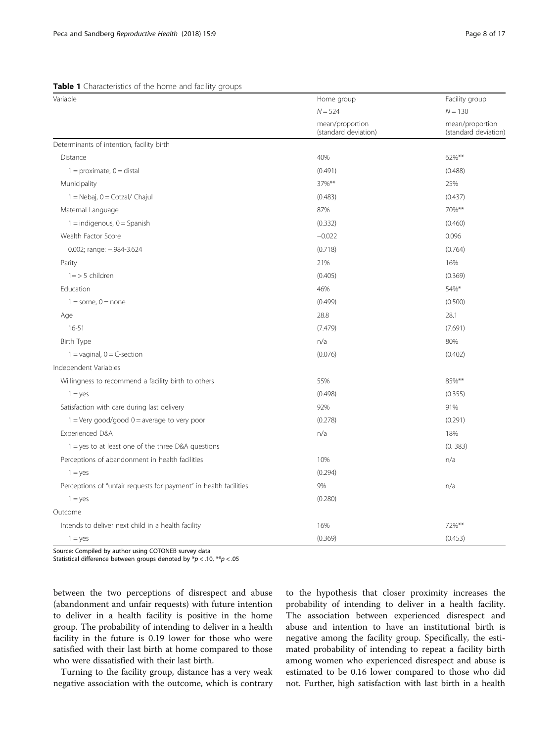<span id="page-7-0"></span>Table 1 Characteristics of the home and facility groups

| Variable                                                          | Home group                              | Facility group                                       |  |
|-------------------------------------------------------------------|-----------------------------------------|------------------------------------------------------|--|
|                                                                   | $N = 524$                               | $N = 130$<br>mean/proportion<br>(standard deviation) |  |
|                                                                   | mean/proportion<br>(standard deviation) |                                                      |  |
| Determinants of intention, facility birth                         |                                         |                                                      |  |
| Distance                                                          | 40%                                     | 62%**                                                |  |
| $1 =$ proximate, $0 =$ distal                                     | (0.491)                                 | (0.488)                                              |  |
| Municipality                                                      | 37%**                                   | 25%                                                  |  |
| $1 =$ Nebaj, $0 =$ Cotzal/ Chajul                                 | (0.483)                                 | (0.437)                                              |  |
| Maternal Language                                                 | 87%                                     | 70%**                                                |  |
| $1 =$ indigenous, $0 =$ Spanish                                   | (0.332)                                 | (0.460)                                              |  |
| Wealth Factor Score                                               | $-0.022$                                | 0.096                                                |  |
| 0.002; range: -.984-3.624                                         | (0.718)                                 | (0.764)                                              |  |
| Parity                                                            | 21%                                     | 16%                                                  |  |
| $1 = 5$ children                                                  | (0.405)                                 | (0.369)                                              |  |
| Education                                                         | 46%                                     | 54%*                                                 |  |
| $1 =$ some, $0 =$ none                                            | (0.499)                                 | (0.500)                                              |  |
| Age                                                               | 28.8                                    | 28.1                                                 |  |
| $16 - 51$                                                         | (7.479)                                 | (7.691)                                              |  |
| Birth Type                                                        | n/a                                     | 80%                                                  |  |
| $1 =$ vaginal, $0 =$ C-section                                    | (0.076)                                 | (0.402)                                              |  |
| Independent Variables                                             |                                         |                                                      |  |
| Willingness to recommend a facility birth to others               | 55%                                     | 85%**                                                |  |
| $1 = yes$                                                         | (0.498)                                 | (0.355)                                              |  |
| Satisfaction with care during last delivery                       | 92%                                     | 91%                                                  |  |
| $1 =$ Very good/good $0 =$ average to very poor                   | (0.278)                                 | (0.291)                                              |  |
| Experienced D&A                                                   | n/a                                     | 18%                                                  |  |
| $1 = yes$ to at least one of the three D&A questions              |                                         | (0.383)                                              |  |
| Perceptions of abandonment in health facilities                   | 10%                                     | n/a                                                  |  |
| $1 = yes$                                                         | (0.294)                                 |                                                      |  |
| Perceptions of "unfair requests for payment" in health facilities | 9%                                      | n/a                                                  |  |
| $1 = yes$                                                         | (0.280)                                 |                                                      |  |
| Outcome                                                           |                                         |                                                      |  |
| Intends to deliver next child in a health facility                | 16%                                     | 72%**                                                |  |
| $1 = yes$                                                         | (0.369)                                 | (0.453)                                              |  |

Source: Compiled by author using COTONEB survey data

Statistical difference between groups denoted by  $p < 10$ ,  $p > 05$ 

between the two perceptions of disrespect and abuse (abandonment and unfair requests) with future intention to deliver in a health facility is positive in the home group. The probability of intending to deliver in a health facility in the future is 0.19 lower for those who were satisfied with their last birth at home compared to those who were dissatisfied with their last birth.

Turning to the facility group, distance has a very weak negative association with the outcome, which is contrary

to the hypothesis that closer proximity increases the probability of intending to deliver in a health facility. The association between experienced disrespect and abuse and intention to have an institutional birth is negative among the facility group. Specifically, the estimated probability of intending to repeat a facility birth among women who experienced disrespect and abuse is estimated to be 0.16 lower compared to those who did not. Further, high satisfaction with last birth in a health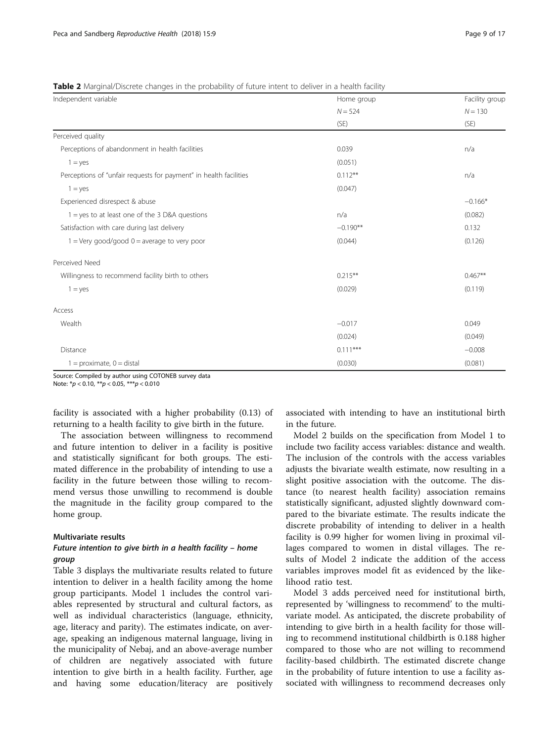<span id="page-8-0"></span>

| <b>Table 2</b> Marginal/Discrete changes in the probability of future intent to deliver in a health facility |
|--------------------------------------------------------------------------------------------------------------|
|--------------------------------------------------------------------------------------------------------------|

| Independent variable                                              | Home group | Facility group |  |
|-------------------------------------------------------------------|------------|----------------|--|
|                                                                   | $N = 524$  | $N = 130$      |  |
|                                                                   | (SE)       | (SE)           |  |
| Perceived quality                                                 |            |                |  |
| Perceptions of abandonment in health facilities                   | 0.039      | n/a            |  |
| $1 = yes$                                                         | (0.051)    |                |  |
| Perceptions of "unfair requests for payment" in health facilities | $0.112***$ | n/a            |  |
| $1 = yes$                                                         | (0.047)    |                |  |
| Experienced disrespect & abuse                                    |            | $-0.166*$      |  |
| $1 = yes$ to at least one of the 3 D&A questions                  | n/a        | (0.082)        |  |
| Satisfaction with care during last delivery                       | $-0.190**$ | 0.132          |  |
| $1 = \text{Very good/good } 0 = \text{average to very poor}$      | (0.044)    | (0.126)        |  |
| Perceived Need                                                    |            |                |  |
| Willingness to recommend facility birth to others                 | $0.215***$ | $0.467**$      |  |
| $1 = yes$                                                         | (0.029)    | (0.119)        |  |
| Access                                                            |            |                |  |
| Wealth                                                            | $-0.017$   | 0.049          |  |
|                                                                   | (0.024)    | (0.049)        |  |
| Distance                                                          | $0.111***$ | $-0.008$       |  |
| $1 =$ proximate, $0 =$ distal                                     | (0.030)    | (0.081)        |  |

Source: Compiled by author using COTONEB survey data Note:  $* p < 0.10, ** p < 0.05, ** p < 0.010$ 

facility is associated with a higher probability (0.13) of returning to a health facility to give birth in the future.

The association between willingness to recommend and future intention to deliver in a facility is positive and statistically significant for both groups. The estimated difference in the probability of intending to use a facility in the future between those willing to recommend versus those unwilling to recommend is double the magnitude in the facility group compared to the home group.

### Multivariate results

### Future intention to give birth in a health facility – home group

Table [3](#page-9-0) displays the multivariate results related to future intention to deliver in a health facility among the home group participants. Model 1 includes the control variables represented by structural and cultural factors, as well as individual characteristics (language, ethnicity, age, literacy and parity). The estimates indicate, on average, speaking an indigenous maternal language, living in the municipality of Nebaj, and an above-average number of children are negatively associated with future intention to give birth in a health facility. Further, age and having some education/literacy are positively

associated with intending to have an institutional birth in the future.

Model 2 builds on the specification from Model 1 to include two facility access variables: distance and wealth. The inclusion of the controls with the access variables adjusts the bivariate wealth estimate, now resulting in a slight positive association with the outcome. The distance (to nearest health facility) association remains statistically significant, adjusted slightly downward compared to the bivariate estimate. The results indicate the discrete probability of intending to deliver in a health facility is 0.99 higher for women living in proximal villages compared to women in distal villages. The results of Model 2 indicate the addition of the access variables improves model fit as evidenced by the likelihood ratio test.

Model 3 adds perceived need for institutional birth, represented by 'willingness to recommend' to the multivariate model. As anticipated, the discrete probability of intending to give birth in a health facility for those willing to recommend institutional childbirth is 0.188 higher compared to those who are not willing to recommend facility-based childbirth. The estimated discrete change in the probability of future intention to use a facility associated with willingness to recommend decreases only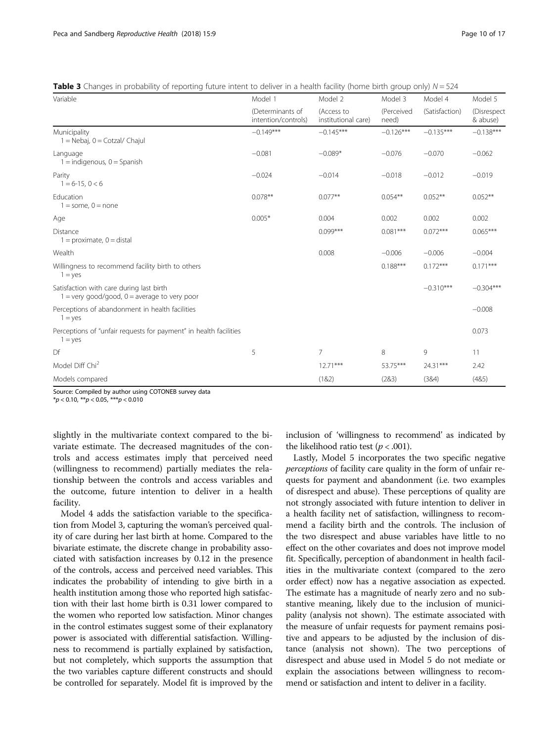| Variable                                                                                                 | Model 1                                 | Model 2                           | Model 3             | Model 4        | Model 5                 |
|----------------------------------------------------------------------------------------------------------|-----------------------------------------|-----------------------------------|---------------------|----------------|-------------------------|
|                                                                                                          | (Determinants of<br>intention/controls) | (Access to<br>institutional care) | (Perceived<br>need) | (Satisfaction) | (Disrespect<br>& abuse) |
| Municipality<br>$1 =$ Nebaj, $0 =$ Cotzal/ Chajul                                                        | $-0.149***$                             | $-0.145***$                       | $-0.126***$         | $-0.135***$    | $-0.138***$             |
| Language<br>$1 =$ indigenous, $0 =$ Spanish                                                              | $-0.081$                                | $-0.089*$                         | $-0.076$            | $-0.070$       | $-0.062$                |
| Parity<br>$1 = 6 - 15, 0 < 6$                                                                            | $-0.024$                                | $-0.014$                          | $-0.018$            | $-0.012$       | $-0.019$                |
| Fducation<br>$1 =$ some, $0 =$ none                                                                      | $0.078**$                               | $0.077**$                         | $0.054**$           | $0.052***$     | $0.052***$              |
| Age                                                                                                      | $0.005*$                                | 0.004                             | 0.002               | 0.002          | 0.002                   |
| Distance<br>$1 =$ proximate, $0 =$ distal                                                                |                                         | $0.099***$                        | $0.081***$          | $0.072***$     | $0.065***$              |
| Wealth                                                                                                   |                                         | 0.008                             | $-0.006$            | $-0.006$       | $-0.004$                |
| Willingness to recommend facility birth to others<br>$1 = yes$                                           |                                         |                                   | $0.188***$          | $0.172***$     | $0.171***$              |
| Satisfaction with care during last birth<br>$1 = \text{very good/good}, 0 = \text{average to very poor}$ |                                         |                                   |                     | $-0.310***$    | $-0.304***$             |
| Perceptions of abandonment in health facilities<br>$1 = yes$                                             |                                         |                                   |                     |                | $-0.008$                |
| Perceptions of "unfair requests for payment" in health facilities<br>$1 = yes$                           |                                         |                                   |                     |                | 0.073                   |
| Df                                                                                                       | 5                                       | $\overline{7}$                    | 8                   | 9              | 11                      |
| Model Diff Chi <sup>2</sup>                                                                              |                                         | $12.71***$                        | 53.75***            | 24.31***       | 2.42                    |
| Models compared                                                                                          |                                         | (182)                             | (283)               | (384)          | (485)                   |

<span id="page-9-0"></span>Table 3 Changes in probability of reporting future intent to deliver in a health facility (home birth group only)  $N = 524$ 

Source: Compiled by author using COTONEB survey data

 $*p < 0.10, **p < 0.05, **p < 0.010$ 

slightly in the multivariate context compared to the bivariate estimate. The decreased magnitudes of the controls and access estimates imply that perceived need (willingness to recommend) partially mediates the relationship between the controls and access variables and the outcome, future intention to deliver in a health facility.

Model 4 adds the satisfaction variable to the specification from Model 3, capturing the woman's perceived quality of care during her last birth at home. Compared to the bivariate estimate, the discrete change in probability associated with satisfaction increases by 0.12 in the presence of the controls, access and perceived need variables. This indicates the probability of intending to give birth in a health institution among those who reported high satisfaction with their last home birth is 0.31 lower compared to the women who reported low satisfaction. Minor changes in the control estimates suggest some of their explanatory power is associated with differential satisfaction. Willingness to recommend is partially explained by satisfaction, but not completely, which supports the assumption that the two variables capture different constructs and should be controlled for separately. Model fit is improved by the

inclusion of 'willingness to recommend' as indicated by the likelihood ratio test ( $p < .001$ ).

Lastly, Model 5 incorporates the two specific negative perceptions of facility care quality in the form of unfair requests for payment and abandonment (i.e. two examples of disrespect and abuse). These perceptions of quality are not strongly associated with future intention to deliver in a health facility net of satisfaction, willingness to recommend a facility birth and the controls. The inclusion of the two disrespect and abuse variables have little to no effect on the other covariates and does not improve model fit. Specifically, perception of abandonment in health facilities in the multivariate context (compared to the zero order effect) now has a negative association as expected. The estimate has a magnitude of nearly zero and no substantive meaning, likely due to the inclusion of municipality (analysis not shown). The estimate associated with the measure of unfair requests for payment remains positive and appears to be adjusted by the inclusion of distance (analysis not shown). The two perceptions of disrespect and abuse used in Model 5 do not mediate or explain the associations between willingness to recommend or satisfaction and intent to deliver in a facility.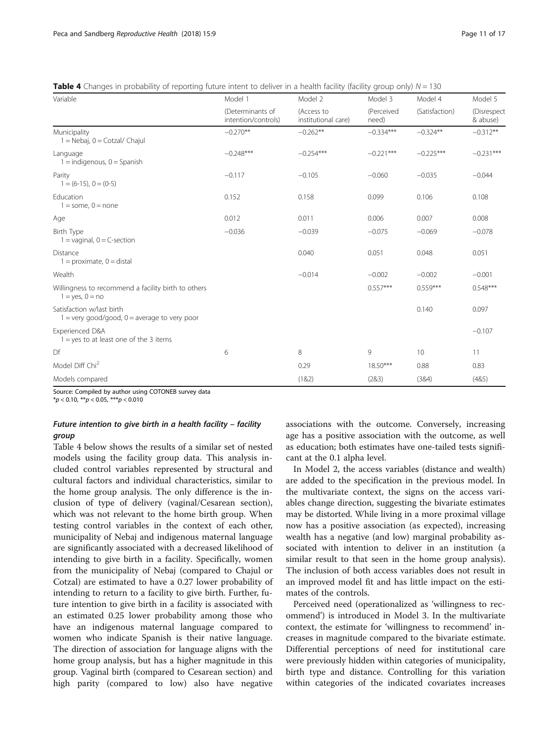| Table 4 Changes in probability of reporting future intent to deliver in a health facility (facility group only) $N = 130$ |  |  |
|---------------------------------------------------------------------------------------------------------------------------|--|--|
|---------------------------------------------------------------------------------------------------------------------------|--|--|

| Variable                                                                                     | Model 1                                 | Model 2                           | Model 3             | Model 4        | Model 5                 |
|----------------------------------------------------------------------------------------------|-----------------------------------------|-----------------------------------|---------------------|----------------|-------------------------|
|                                                                                              | (Determinants of<br>intention/controls) | (Access to<br>institutional care) | (Perceived<br>need) | (Satisfaction) | (Disrespect<br>& abuse) |
| Municipality<br>$1 =$ Nebaj, $0 =$ Cotzal/ Chajul                                            | $-0.270**$                              | $-0.262**$                        | $-0.334***$         | $-0.324**$     | $-0.312**$              |
| Language<br>$1 =$ indigenous, $0 =$ Spanish                                                  | $-0.248***$                             | $-0.254***$                       | $-0.221***$         | $-0.225***$    | $-0.231***$             |
| Parity<br>$1 = (6-15), 0 = (0-5)$                                                            | $-0.117$                                | $-0.105$                          | $-0.060$            | $-0.035$       | $-0.044$                |
| Education<br>$1 =$ some, $0 =$ none                                                          | 0.152                                   | 0.158                             | 0.099               | 0.106          | 0.108                   |
| Age                                                                                          | 0.012                                   | 0.011                             | 0.006               | 0.007          | 0.008                   |
| <b>Birth Type</b><br>$1 =$ vaginal, $0 =$ C-section                                          | $-0.036$                                | $-0.039$                          | $-0.075$            | $-0.069$       | $-0.078$                |
| Distance<br>$1 =$ proximate, $0 =$ distal                                                    |                                         | 0.040                             | 0.051               | 0.048          | 0.051                   |
| Wealth                                                                                       |                                         | $-0.014$                          | $-0.002$            | $-0.002$       | $-0.001$                |
| Willingness to recommend a facility birth to others<br>$1 = yes$ , $0 = no$                  |                                         |                                   | $0.557***$          | $0.559***$     | $0.548***$              |
| Satisfaction w/last birth<br>$1 = \text{very good/good}$ , $0 = \text{average to very poor}$ |                                         |                                   |                     | 0.140          | 0.097                   |
| Experienced D&A<br>$1 = yes$ to at least one of the 3 items                                  |                                         |                                   |                     |                | $-0.107$                |
| Df                                                                                           | 6                                       | 8                                 | 9                   | 10             | 11                      |
| Model Diff Chi <sup>2</sup>                                                                  |                                         | 0.29                              | 18.50***            | 0.88           | 0.83                    |
| Models compared                                                                              |                                         | (182)                             | (283)               | (384)          | (485)                   |

Source: Compiled by author using COTONEB survey data

 $*p < 0.10, **p < 0.05, **p < 0.010$ 

## Future intention to give birth in a health facility – facility group

Table 4 below shows the results of a similar set of nested models using the facility group data. This analysis included control variables represented by structural and cultural factors and individual characteristics, similar to the home group analysis. The only difference is the inclusion of type of delivery (vaginal/Cesarean section), which was not relevant to the home birth group. When testing control variables in the context of each other, municipality of Nebaj and indigenous maternal language are significantly associated with a decreased likelihood of intending to give birth in a facility. Specifically, women from the municipality of Nebaj (compared to Chajul or Cotzal) are estimated to have a 0.27 lower probability of intending to return to a facility to give birth. Further, future intention to give birth in a facility is associated with an estimated 0.25 lower probability among those who have an indigenous maternal language compared to women who indicate Spanish is their native language. The direction of association for language aligns with the home group analysis, but has a higher magnitude in this group. Vaginal birth (compared to Cesarean section) and high parity (compared to low) also have negative

associations with the outcome. Conversely, increasing age has a positive association with the outcome, as well as education; both estimates have one-tailed tests significant at the 0.1 alpha level.

In Model 2, the access variables (distance and wealth) are added to the specification in the previous model. In the multivariate context, the signs on the access variables change direction, suggesting the bivariate estimates may be distorted. While living in a more proximal village now has a positive association (as expected), increasing wealth has a negative (and low) marginal probability associated with intention to deliver in an institution (a similar result to that seen in the home group analysis). The inclusion of both access variables does not result in an improved model fit and has little impact on the estimates of the controls.

Perceived need (operationalized as 'willingness to recommend') is introduced in Model 3. In the multivariate context, the estimate for 'willingness to recommend' increases in magnitude compared to the bivariate estimate. Differential perceptions of need for institutional care were previously hidden within categories of municipality, birth type and distance. Controlling for this variation within categories of the indicated covariates increases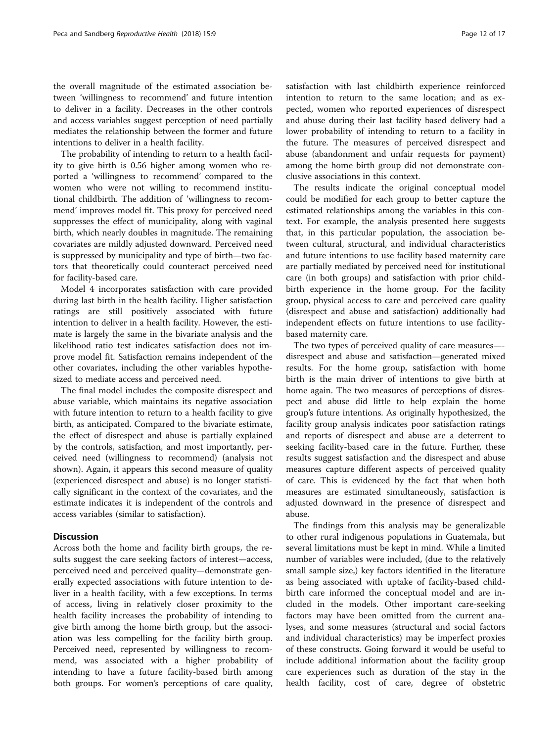the overall magnitude of the estimated association between 'willingness to recommend' and future intention to deliver in a facility. Decreases in the other controls and access variables suggest perception of need partially mediates the relationship between the former and future intentions to deliver in a health facility.

The probability of intending to return to a health facility to give birth is 0.56 higher among women who reported a 'willingness to recommend' compared to the women who were not willing to recommend institutional childbirth. The addition of 'willingness to recommend' improves model fit. This proxy for perceived need suppresses the effect of municipality, along with vaginal birth, which nearly doubles in magnitude. The remaining covariates are mildly adjusted downward. Perceived need is suppressed by municipality and type of birth—two factors that theoretically could counteract perceived need for facility-based care.

Model 4 incorporates satisfaction with care provided during last birth in the health facility. Higher satisfaction ratings are still positively associated with future intention to deliver in a health facility. However, the estimate is largely the same in the bivariate analysis and the likelihood ratio test indicates satisfaction does not improve model fit. Satisfaction remains independent of the other covariates, including the other variables hypothesized to mediate access and perceived need.

The final model includes the composite disrespect and abuse variable, which maintains its negative association with future intention to return to a health facility to give birth, as anticipated. Compared to the bivariate estimate, the effect of disrespect and abuse is partially explained by the controls, satisfaction, and most importantly, perceived need (willingness to recommend) (analysis not shown). Again, it appears this second measure of quality (experienced disrespect and abuse) is no longer statistically significant in the context of the covariates, and the estimate indicates it is independent of the controls and access variables (similar to satisfaction).

### **Discussion**

Across both the home and facility birth groups, the results suggest the care seeking factors of interest—access, perceived need and perceived quality—demonstrate generally expected associations with future intention to deliver in a health facility, with a few exceptions. In terms of access, living in relatively closer proximity to the health facility increases the probability of intending to give birth among the home birth group, but the association was less compelling for the facility birth group. Perceived need, represented by willingness to recommend, was associated with a higher probability of intending to have a future facility-based birth among both groups. For women's perceptions of care quality, satisfaction with last childbirth experience reinforced intention to return to the same location; and as expected, women who reported experiences of disrespect and abuse during their last facility based delivery had a lower probability of intending to return to a facility in the future. The measures of perceived disrespect and abuse (abandonment and unfair requests for payment) among the home birth group did not demonstrate conclusive associations in this context.

The results indicate the original conceptual model could be modified for each group to better capture the estimated relationships among the variables in this context. For example, the analysis presented here suggests that, in this particular population, the association between cultural, structural, and individual characteristics and future intentions to use facility based maternity care are partially mediated by perceived need for institutional care (in both groups) and satisfaction with prior childbirth experience in the home group. For the facility group, physical access to care and perceived care quality (disrespect and abuse and satisfaction) additionally had independent effects on future intentions to use facilitybased maternity care.

The two types of perceived quality of care measures— disrespect and abuse and satisfaction—generated mixed results. For the home group, satisfaction with home birth is the main driver of intentions to give birth at home again. The two measures of perceptions of disrespect and abuse did little to help explain the home group's future intentions. As originally hypothesized, the facility group analysis indicates poor satisfaction ratings and reports of disrespect and abuse are a deterrent to seeking facility-based care in the future. Further, these results suggest satisfaction and the disrespect and abuse measures capture different aspects of perceived quality of care. This is evidenced by the fact that when both measures are estimated simultaneously, satisfaction is adjusted downward in the presence of disrespect and abuse.

The findings from this analysis may be generalizable to other rural indigenous populations in Guatemala, but several limitations must be kept in mind. While a limited number of variables were included, (due to the relatively small sample size,) key factors identified in the literature as being associated with uptake of facility-based childbirth care informed the conceptual model and are included in the models. Other important care-seeking factors may have been omitted from the current analyses, and some measures (structural and social factors and individual characteristics) may be imperfect proxies of these constructs. Going forward it would be useful to include additional information about the facility group care experiences such as duration of the stay in the health facility, cost of care, degree of obstetric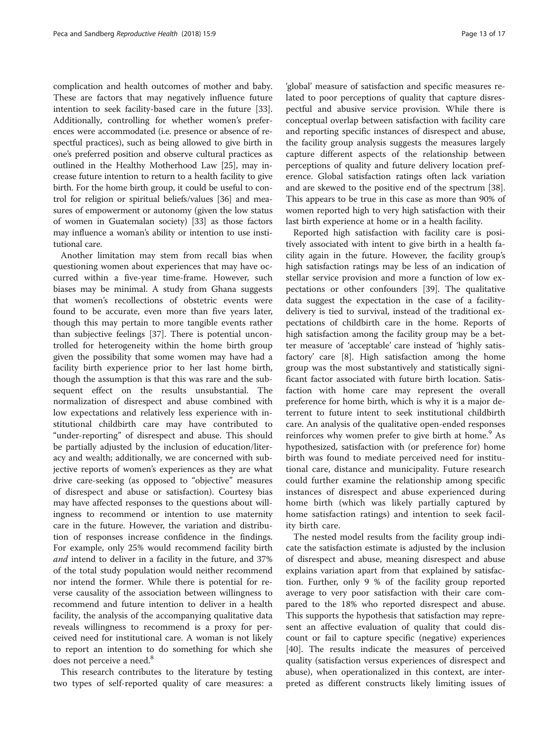complication and health outcomes of mother and baby. These are factors that may negatively influence future intention to seek facility-based care in the future [\[33](#page-16-0)]. Additionally, controlling for whether women's preferences were accommodated (i.e. presence or absence of respectful practices), such as being allowed to give birth in one's preferred position and observe cultural practices as outlined in the Healthy Motherhood Law [[25](#page-16-0)], may increase future intention to return to a health facility to give birth. For the home birth group, it could be useful to control for religion or spiritual beliefs/values [\[36](#page-16-0)] and measures of empowerment or autonomy (given the low status of women in Guatemalan society) [\[33\]](#page-16-0) as those factors may influence a woman's ability or intention to use institutional care.

Another limitation may stem from recall bias when questioning women about experiences that may have occurred within a five-year time-frame. However, such biases may be minimal. A study from Ghana suggests that women's recollections of obstetric events were found to be accurate, even more than five years later, though this may pertain to more tangible events rather than subjective feelings [\[37\]](#page-16-0). There is potential uncontrolled for heterogeneity within the home birth group given the possibility that some women may have had a facility birth experience prior to her last home birth, though the assumption is that this was rare and the subsequent effect on the results unsubstantial. The normalization of disrespect and abuse combined with low expectations and relatively less experience with institutional childbirth care may have contributed to "under-reporting" of disrespect and abuse. This should be partially adjusted by the inclusion of education/literacy and wealth; additionally, we are concerned with subjective reports of women's experiences as they are what drive care-seeking (as opposed to "objective" measures of disrespect and abuse or satisfaction). Courtesy bias may have affected responses to the questions about willingness to recommend or intention to use maternity care in the future. However, the variation and distribution of responses increase confidence in the findings. For example, only 25% would recommend facility birth and intend to deliver in a facility in the future, and 37% of the total study population would neither recommend nor intend the former. While there is potential for reverse causality of the association between willingness to recommend and future intention to deliver in a health facility, the analysis of the accompanying qualitative data reveals willingness to recommend is a proxy for perceived need for institutional care. A woman is not likely to report an intention to do something for which she does not perceive a need.<sup>8</sup>

This research contributes to the literature by testing two types of self-reported quality of care measures: a

'global' measure of satisfaction and specific measures related to poor perceptions of quality that capture disrespectful and abusive service provision. While there is conceptual overlap between satisfaction with facility care and reporting specific instances of disrespect and abuse, the facility group analysis suggests the measures largely capture different aspects of the relationship between perceptions of quality and future delivery location preference. Global satisfaction ratings often lack variation and are skewed to the positive end of the spectrum [\[38](#page-16-0)]. This appears to be true in this case as more than 90% of women reported high to very high satisfaction with their last birth experience at home or in a health facility.

Reported high satisfaction with facility care is positively associated with intent to give birth in a health facility again in the future. However, the facility group's high satisfaction ratings may be less of an indication of stellar service provision and more a function of low expectations or other confounders [[39](#page-16-0)]. The qualitative data suggest the expectation in the case of a facilitydelivery is tied to survival, instead of the traditional expectations of childbirth care in the home. Reports of high satisfaction among the facility group may be a better measure of 'acceptable' care instead of 'highly satisfactory' care [[8\]](#page-15-0). High satisfaction among the home group was the most substantively and statistically significant factor associated with future birth location. Satisfaction with home care may represent the overall preference for home birth, which is why it is a major deterrent to future intent to seek institutional childbirth care. An analysis of the qualitative open-ended responses reinforces why women prefer to give birth at home.<sup>9</sup> As hypothesized, satisfaction with (or preference for) home birth was found to mediate perceived need for institutional care, distance and municipality. Future research could further examine the relationship among specific instances of disrespect and abuse experienced during home birth (which was likely partially captured by home satisfaction ratings) and intention to seek facility birth care.

The nested model results from the facility group indicate the satisfaction estimate is adjusted by the inclusion of disrespect and abuse, meaning disrespect and abuse explains variation apart from that explained by satisfaction. Further, only 9 % of the facility group reported average to very poor satisfaction with their care compared to the 18% who reported disrespect and abuse. This supports the hypothesis that satisfaction may represent an affective evaluation of quality that could discount or fail to capture specific (negative) experiences [[40\]](#page-16-0). The results indicate the measures of perceived quality (satisfaction versus experiences of disrespect and abuse), when operationalized in this context, are interpreted as different constructs likely limiting issues of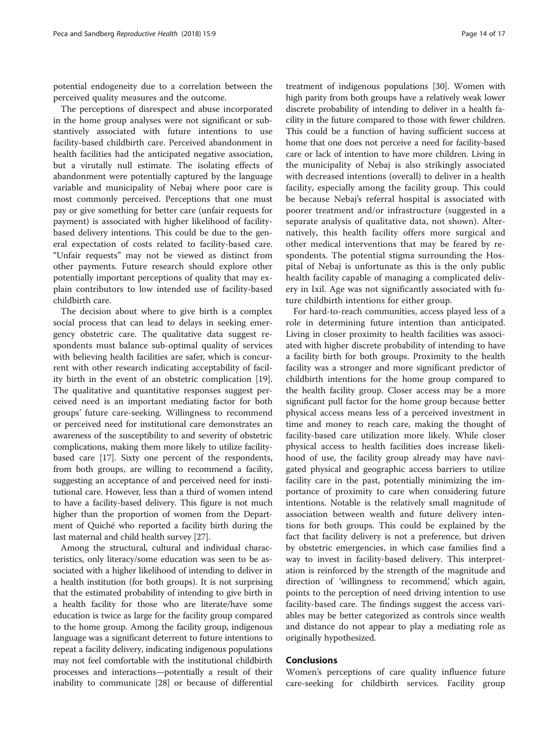potential endogeneity due to a correlation between the perceived quality measures and the outcome.

The perceptions of disrespect and abuse incorporated in the home group analyses were not significant or substantively associated with future intentions to use facility-based childbirth care. Perceived abandonment in health facilities had the anticipated negative association, but a virutally null estimate. The isolating effects of abandonment were potentially captured by the language variable and municipality of Nebaj where poor care is most commonly perceived. Perceptions that one must pay or give something for better care (unfair requests for payment) is associated with higher likelihood of facilitybased delivery intentions. This could be due to the general expectation of costs related to facility-based care. "Unfair requests" may not be viewed as distinct from other payments. Future research should explore other potentially important perceptions of quality that may explain contributors to low intended use of facility-based childbirth care.

The decision about where to give birth is a complex social process that can lead to delays in seeking emergency obstetric care. The qualitative data suggest respondents must balance sub-optimal quality of services with believing health facilities are safer, which is concurrent with other research indicating acceptability of facility birth in the event of an obstetric complication [\[19](#page-16-0)]. The qualitative and quantitative responses suggest perceived need is an important mediating factor for both groups' future care-seeking. Willingness to recommend or perceived need for institutional care demonstrates an awareness of the susceptibility to and severity of obstetric complications, making them more likely to utilize facilitybased care [\[17\]](#page-15-0). Sixty one percent of the respondents, from both groups, are willing to recommend a facility, suggesting an acceptance of and perceived need for institutional care. However, less than a third of women intend to have a facility-based delivery. This figure is not much higher than the proportion of women from the Department of Quiché who reported a facility birth during the last maternal and child health survey [[27](#page-16-0)].

Among the structural, cultural and individual characteristics, only literacy/some education was seen to be associated with a higher likelihood of intending to deliver in a health institution (for both groups). It is not surprising that the estimated probability of intending to give birth in a health facility for those who are literate/have some education is twice as large for the facility group compared to the home group. Among the facility group, indigenous language was a significant deterrent to future intentions to repeat a facility delivery, indicating indigenous populations may not feel comfortable with the institutional childbirth processes and interactions—potentially a result of their inability to communicate [\[28](#page-16-0)] or because of differential

treatment of indigenous populations [\[30\]](#page-16-0). Women with high parity from both groups have a relatively weak lower discrete probability of intending to deliver in a health facility in the future compared to those with fewer children. This could be a function of having sufficient success at home that one does not perceive a need for facility-based care or lack of intention to have more children. Living in the municipality of Nebaj is also strikingly associated with decreased intentions (overall) to deliver in a health facility, especially among the facility group. This could be because Nebaj's referral hospital is associated with poorer treatment and/or infrastructure (suggested in a separate analysis of qualitative data, not shown). Alternatively, this health facility offers more surgical and other medical interventions that may be feared by respondents. The potential stigma surrounding the Hospital of Nebaj is unfortunate as this is the only public health facility capable of managing a complicated delivery in Ixil. Age was not significantly associated with future childbirth intentions for either group.

For hard-to-reach communities, access played less of a role in determining future intention than anticipated. Living in closer proximity to health facilities was associated with higher discrete probability of intending to have a facility birth for both groups. Proximity to the health facility was a stronger and more significant predictor of childbirth intentions for the home group compared to the health facility group. Closer access may be a more significant pull factor for the home group because better physical access means less of a perceived investment in time and money to reach care, making the thought of facility-based care utilization more likely. While closer physical access to health facilities does increase likelihood of use, the facility group already may have navigated physical and geographic access barriers to utilize facility care in the past, potentially minimizing the importance of proximity to care when considering future intentions. Notable is the relatively small magnitude of association between wealth and future delivery intentions for both groups. This could be explained by the fact that facility delivery is not a preference, but driven by obstetric emergencies, in which case families find a way to invest in facility-based delivery. This interpretation is reinforced by the strength of the magnitude and direction of 'willingness to recommend,' which again, points to the perception of need driving intention to use facility-based care. The findings suggest the access variables may be better categorized as controls since wealth and distance do not appear to play a mediating role as originally hypothesized.

### Conclusions

Women's perceptions of care quality influence future care-seeking for childbirth services. Facility group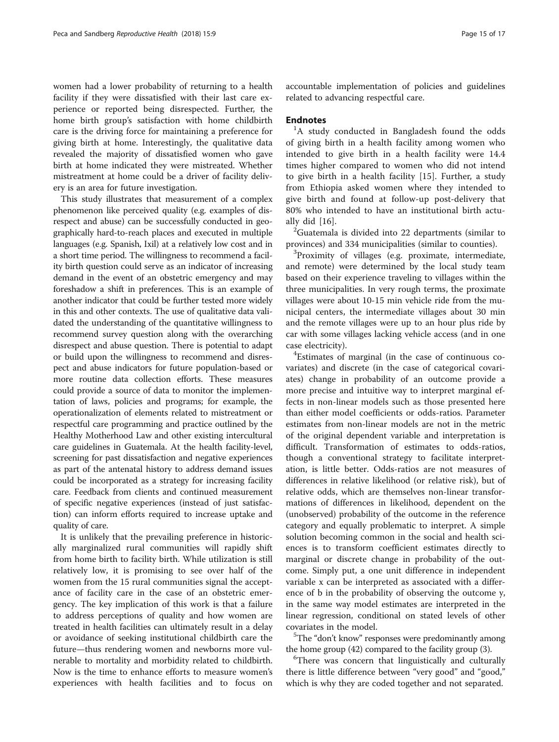women had a lower probability of returning to a health facility if they were dissatisfied with their last care experience or reported being disrespected. Further, the home birth group's satisfaction with home childbirth care is the driving force for maintaining a preference for giving birth at home. Interestingly, the qualitative data revealed the majority of dissatisfied women who gave birth at home indicated they were mistreated. Whether mistreatment at home could be a driver of facility delivery is an area for future investigation.

This study illustrates that measurement of a complex phenomenon like perceived quality (e.g. examples of disrespect and abuse) can be successfully conducted in geographically hard-to-reach places and executed in multiple languages (e.g. Spanish, Ixil) at a relatively low cost and in a short time period. The willingness to recommend a facility birth question could serve as an indicator of increasing demand in the event of an obstetric emergency and may foreshadow a shift in preferences. This is an example of another indicator that could be further tested more widely in this and other contexts. The use of qualitative data validated the understanding of the quantitative willingness to recommend survey question along with the overarching disrespect and abuse question. There is potential to adapt or build upon the willingness to recommend and disrespect and abuse indicators for future population-based or more routine data collection efforts. These measures could provide a source of data to monitor the implementation of laws, policies and programs; for example, the operationalization of elements related to mistreatment or respectful care programming and practice outlined by the Healthy Motherhood Law and other existing intercultural care guidelines in Guatemala. At the health facility-level, screening for past dissatisfaction and negative experiences as part of the antenatal history to address demand issues could be incorporated as a strategy for increasing facility care. Feedback from clients and continued measurement of specific negative experiences (instead of just satisfaction) can inform efforts required to increase uptake and quality of care.

It is unlikely that the prevailing preference in historically marginalized rural communities will rapidly shift from home birth to facility birth. While utilization is still relatively low, it is promising to see over half of the women from the 15 rural communities signal the acceptance of facility care in the case of an obstetric emergency. The key implication of this work is that a failure to address perceptions of quality and how women are treated in health facilities can ultimately result in a delay or avoidance of seeking institutional childbirth care the future—thus rendering women and newborns more vulnerable to mortality and morbidity related to childbirth. Now is the time to enhance efforts to measure women's experiences with health facilities and to focus on accountable implementation of policies and guidelines related to advancing respectful care.

### **Endnotes**

<sup>1</sup>A study conducted in Bangladesh found the odds of giving birth in a health facility among women who intended to give birth in a health facility were 14.4 times higher compared to women who did not intend to give birth in a health facility [\[15](#page-15-0)]. Further, a study from Ethiopia asked women where they intended to give birth and found at follow-up post-delivery that 80% who intended to have an institutional birth actually did  $[16]$  $[16]$ .

 ${}^{2}$ Guatemala is divided into 22 departments (similar to provinces) and 334 municipalities (similar to counties). <sup>3</sup>

<sup>3</sup>Proximity of villages (e.g. proximate, intermediate, and remote) were determined by the local study team based on their experience traveling to villages within the three municipalities. In very rough terms, the proximate villages were about 10-15 min vehicle ride from the municipal centers, the intermediate villages about 30 min and the remote villages were up to an hour plus ride by car with some villages lacking vehicle access (and in one case electricity). <sup>4</sup>

Estimates of marginal (in the case of continuous covariates) and discrete (in the case of categorical covariates) change in probability of an outcome provide a more precise and intuitive way to interpret marginal effects in non-linear models such as those presented here than either model coefficients or odds-ratios. Parameter estimates from non-linear models are not in the metric of the original dependent variable and interpretation is difficult. Transformation of estimates to odds-ratios, though a conventional strategy to facilitate interpretation, is little better. Odds-ratios are not measures of differences in relative likelihood (or relative risk), but of relative odds, which are themselves non-linear transformations of differences in likelihood, dependent on the (unobserved) probability of the outcome in the reference category and equally problematic to interpret. A simple solution becoming common in the social and health sciences is to transform coefficient estimates directly to marginal or discrete change in probability of the outcome. Simply put, a one unit difference in independent variable x can be interpreted as associated with a difference of b in the probability of observing the outcome y, in the same way model estimates are interpreted in the linear regression, conditional on stated levels of other covariates in the model.

<sup>5</sup>The "don't know" responses were predominantly among the home group  $(42)$  compared to the facility group  $(3)$ .

<sup>6</sup>There was concern that linguistically and culturally there is little difference between "very good" and "good," which is why they are coded together and not separated.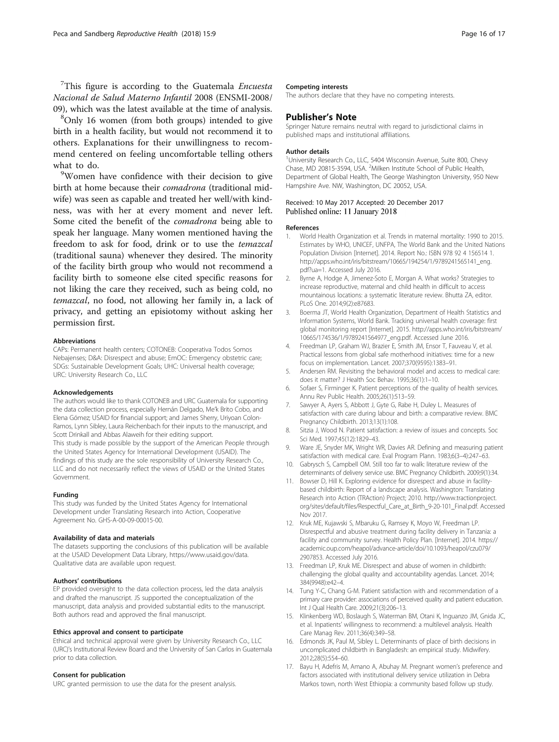<span id="page-15-0"></span><sup>7</sup>This figure is according to the Guatemala *Encuesta* Nacional de Salud Materno Infantil 2008 (ENSMI-2008/ 09), which was the latest available at the time of analysis.

<sup>8</sup>Only 16 women (from both groups) intended to give birth in a health facility, but would not recommend it to others. Explanations for their unwillingness to recommend centered on feeling uncomfortable telling others what to do.

<sup>9</sup>Women have confidence with their decision to give birth at home because their comadrona (traditional midwife) was seen as capable and treated her well/with kindness, was with her at every moment and never left. Some cited the benefit of the comadrona being able to speak her language. Many women mentioned having the freedom to ask for food, drink or to use the temazcal (traditional sauna) whenever they desired. The minority of the facility birth group who would not recommend a facility birth to someone else cited specific reasons for not liking the care they received, such as being cold, no temazcal, no food, not allowing her family in, a lack of privacy, and getting an episiotomy without asking her permission first.

#### Abbreviations

CAPs: Permanent health centers; COTONEB: Cooperativa Todos Somos Nebajenses; D&A: Disrespect and abuse; EmOC: Emergency obstetric care; SDGs: Sustainable Development Goals; UHC: Universal health coverage; URC: University Research Co., LLC

#### Acknowledgements

The authors would like to thank COTONEB and URC Guatemala for supporting the data collection process, especially Hernán Delgado, Me'k Brito Cobo, and Elena Gómez; USAID for financial support; and James Sherry, Uriyoan Colon-Ramos, Lynn Sibley, Laura Reichenbach for their inputs to the manuscript, and Scott Drinkall and Abbas Alaweih for their editing support. This study is made possible by the support of the American People through the United States Agency for International Development (USAID). The findings of this study are the sole responsibility of University Research Co., LLC and do not necessarily reflect the views of USAID or the United States Government.

#### Funding

This study was funded by the United States Agency for International Development under Translating Research into Action, Cooperative Agreement No. GHS-A-00-09-00015-00.

#### Availability of data and materials

The datasets supporting the conclusions of this publication will be available at the USAID Development Data Library, [https://www.usaid.gov/data.](https://www.usaid.gov/data) Qualitative data are available upon request.

#### Authors' contributions

EP provided oversight to the data collection process, led the data analysis and drafted the manuscript. JS supported the conceptualization of the manuscript, data analysis and provided substantial edits to the manuscript. Both authors read and approved the final manuscript.

#### Ethics approval and consent to participate

Ethical and technical approval were given by University Research Co., LLC (URC)'s Institutional Review Board and the University of San Carlos in Guatemala prior to data collection.

#### Consent for publication

URC granted permission to use the data for the present analysis.

#### Competing interests

The authors declare that they have no competing interests.

#### Publisher's Note

Springer Nature remains neutral with regard to jurisdictional claims in published maps and institutional affiliations.

#### Author details

<sup>1</sup>University Research Co., LLC, 5404 Wisconsin Avenue, Suite 800, Chevy Chase, MD 20815-3594, USA. <sup>2</sup>Milken Institute School of Public Health Department of Global Health, The George Washington University, 950 New Hampshire Ave. NW, Washington, DC 20052, USA.

#### Received: 10 May 2017 Accepted: 20 December 2017 Published online: 11 January 2018

#### References

- 1. World Health Organization et al. Trends in maternal mortality: 1990 to 2015. Estimates by WHO, UNICEF, UNFPA, The World Bank and the United Nations Population Division [Internet]. 2014. Report No.: ISBN 978 92 4 156514 1. [http://apps.who.int/iris/bitstream/10665/194254/1/9789241565141\\_eng.](http://apps.who.int/iris/bitstream/10665/194254/1/9789241565141_eng.pdf?ua=1) [pdf?ua=1.](http://apps.who.int/iris/bitstream/10665/194254/1/9789241565141_eng.pdf?ua=1) Accessed July 2016.
- 2. Byrne A, Hodge A, Jimenez-Soto E, Morgan A. What works? Strategies to increase reproductive, maternal and child health in difficult to access mountainous locations: a systematic literature review. Bhutta ZA, editor. PLoS One. 2014;9(2):e87683.
- 3. Boerma JT, World Health Organization, Department of Health Statistics and Information Systems, World Bank. Tracking universal health coverage: first global monitoring report [Internet]. 2015. [http://apps.who.int/iris/bitstream/](http://apps.who.int/iris/bitstream/10665/174536/1/9789241564977_eng.pdf) [10665/174536/1/9789241564977\\_eng.pdf.](http://apps.who.int/iris/bitstream/10665/174536/1/9789241564977_eng.pdf) Accessed June 2016.
- 4. Freedman LP, Graham WJ, Brazier E, Smith JM, Ensor T, Fauveau V, et al. Practical lessons from global safe motherhood initiatives: time for a new focus on implementation. Lancet. 2007;370(9595):1383–91.
- 5. Andersen RM. Revisiting the behavioral model and access to medical care: does it matter? J Health Soc Behav. 1995;36(1):1–10.
- 6. Sofaer S, Firminger K. Patient perceptions of the quality of health services. Annu Rev Public Health. 2005;26(1):513–59.
- 7. Sawyer A, Ayers S, Abbott J, Gyte G, Rabe H, Duley L. Measures of satisfaction with care during labour and birth: a comparative review. BMC Pregnancy Childbirth. 2013;13(1):108.
- Sitzia J, Wood N. Patient satisfaction: a review of issues and concepts. Soc Sci Med. 1997;45(12):1829–43.
- 9. Ware JE, Snyder MK, Wright WR, Davies AR. Defining and measuring patient satisfaction with medical care. Eval Program Plann. 1983;6(3–4):247–63.
- 10. Gabrysch S, Campbell OM. Still too far to walk: literature review of the determinants of delivery service use. BMC Pregnancy Childbirth. 2009;9(1):34.
- 11. Bowser D, Hill K. Exploring evidence for disrespect and abuse in facilitybased childbirth: Report of a landscape analysis. Washington: Translating Research into Action (TRAction) Project; 2010. [http://www.tractionproject.](http://www.tractionproject.org/sites/default/files/Respectful_Care_at_Birth_9-20-101_Final.pdf) [org/sites/default/files/Respectful\\_Care\\_at\\_Birth\\_9-20-101\\_Final.pdf.](http://www.tractionproject.org/sites/default/files/Respectful_Care_at_Birth_9-20-101_Final.pdf) Accessed Nov 2017.
- 12. Kruk ME, Kujawski S, Mbaruku G, Ramsey K, Moyo W, Freedman LP. Disrespectful and abusive treatment during facility delivery in Tanzania: a facility and community survey. Health Policy Plan. [Internet]. 2014. [https://](https://academic.oup.com/heapol/advance-article/doi/10.1093/heapol/czu079/2907853) [academic.oup.com/heapol/advance-article/doi/10.1093/heapol/czu079/](https://academic.oup.com/heapol/advance-article/doi/10.1093/heapol/czu079/2907853) [2907853.](https://academic.oup.com/heapol/advance-article/doi/10.1093/heapol/czu079/2907853) Accessed July 2016.
- 13. Freedman LP, Kruk ME. Disrespect and abuse of women in childbirth: challenging the global quality and accountability agendas. Lancet. 2014; 384(9948):e42–4.
- 14. Tung Y-C, Chang G-M. Patient satisfaction with and recommendation of a primary care provider: associations of perceived quality and patient education. Int J Qual Health Care. 2009;21(3):206–13.
- 15. Klinkenberg WD, Boslaugh S, Waterman BM, Otani K, Inguanzo JM, Gnida JC, et al. Inpatients' willingness to recommend: a multilevel analysis. Health Care Manag Rev. 2011;36(4):349–58.
- 16. Edmonds JK, Paul M, Sibley L. Determinants of place of birth decisions in uncomplicated childbirth in Bangladesh: an empirical study. Midwifery. 2012;28(5):554–60.
- 17. Bayu H, Adefris M, Amano A, Abuhay M. Pregnant women's preference and factors associated with institutional delivery service utilization in Debra Markos town, north West Ethiopia: a community based follow up study.